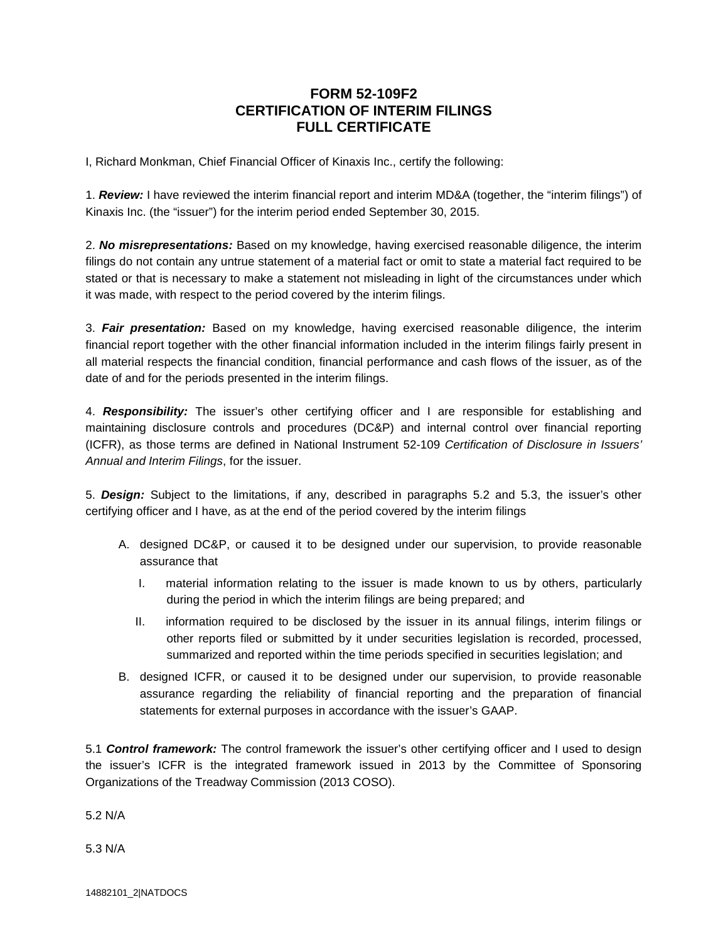## **FORM 52-109F2 CERTIFICATION OF INTERIM FILINGS FULL CERTIFICATE**

I, Richard Monkman, Chief Financial Officer of Kinaxis Inc., certify the following:

1. *Review:* I have reviewed the interim financial report and interim MD&A (together, the "interim filings") of Kinaxis Inc. (the "issuer") for the interim period ended September 30, 2015.

2. *No misrepresentations:* Based on my knowledge, having exercised reasonable diligence, the interim filings do not contain any untrue statement of a material fact or omit to state a material fact required to be stated or that is necessary to make a statement not misleading in light of the circumstances under which it was made, with respect to the period covered by the interim filings.

3. *Fair presentation:* Based on my knowledge, having exercised reasonable diligence, the interim financial report together with the other financial information included in the interim filings fairly present in all material respects the financial condition, financial performance and cash flows of the issuer, as of the date of and for the periods presented in the interim filings.

4. *Responsibility:* The issuer's other certifying officer and I are responsible for establishing and maintaining disclosure controls and procedures (DC&P) and internal control over financial reporting (ICFR), as those terms are defined in National Instrument 52-109 *Certification of Disclosure in Issuers' Annual and Interim Filings*, for the issuer.

5. *Design:* Subject to the limitations, if any, described in paragraphs 5.2 and 5.3, the issuer's other certifying officer and I have, as at the end of the period covered by the interim filings

- A. designed DC&P, or caused it to be designed under our supervision, to provide reasonable assurance that
	- I. material information relating to the issuer is made known to us by others, particularly during the period in which the interim filings are being prepared; and
	- II. information required to be disclosed by the issuer in its annual filings, interim filings or other reports filed or submitted by it under securities legislation is recorded, processed, summarized and reported within the time periods specified in securities legislation; and
- B. designed ICFR, or caused it to be designed under our supervision, to provide reasonable assurance regarding the reliability of financial reporting and the preparation of financial statements for external purposes in accordance with the issuer's GAAP.

5.1 *Control framework:* The control framework the issuer's other certifying officer and I used to design the issuer's ICFR is the integrated framework issued in 2013 by the Committee of Sponsoring Organizations of the Treadway Commission (2013 COSO).

5.2 N/A

5.3 N/A